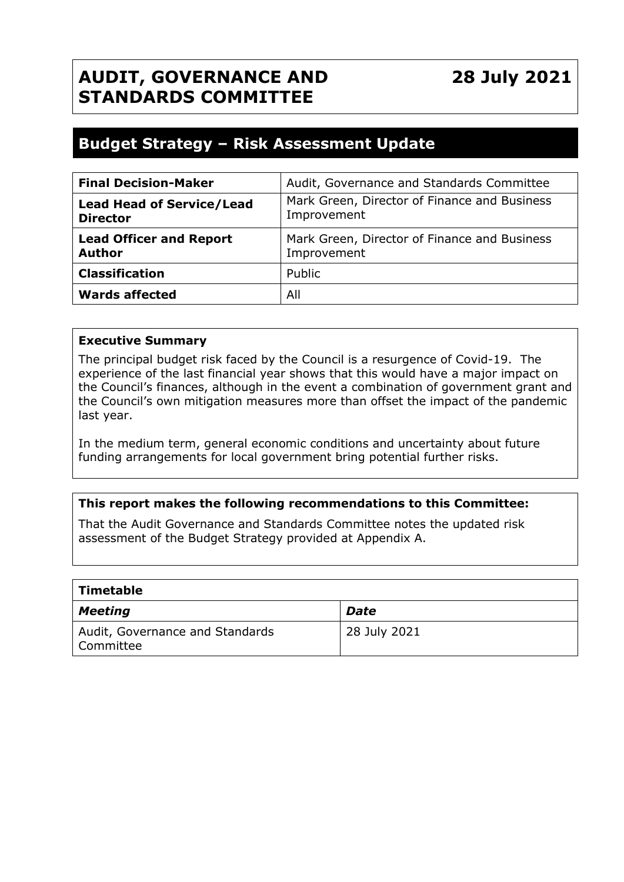## **AUDIT, GOVERNANCE AND STANDARDS COMMITTEE**

### **Budget Strategy – Risk Assessment Update**

| <b>Final Decision-Maker</b>                         | Audit, Governance and Standards Committee                   |  |
|-----------------------------------------------------|-------------------------------------------------------------|--|
| <b>Lead Head of Service/Lead</b><br><b>Director</b> | Mark Green, Director of Finance and Business<br>Improvement |  |
| <b>Lead Officer and Report</b><br><b>Author</b>     | Mark Green, Director of Finance and Business<br>Improvement |  |
| <b>Classification</b>                               | Public                                                      |  |
| <b>Wards affected</b>                               | All                                                         |  |

#### **Executive Summary**

The principal budget risk faced by the Council is a resurgence of Covid-19. The experience of the last financial year shows that this would have a major impact on the Council's finances, although in the event a combination of government grant and the Council's own mitigation measures more than offset the impact of the pandemic last year.

In the medium term, general economic conditions and uncertainty about future funding arrangements for local government bring potential further risks.

#### **This report makes the following recommendations to this Committee:**

That the Audit Governance and Standards Committee notes the updated risk assessment of the Budget Strategy provided at Appendix A.

| $\mid$ Timetable                               |              |
|------------------------------------------------|--------------|
| Meeting                                        | <b>Date</b>  |
| Audit, Governance and Standards<br>  Committee | 28 July 2021 |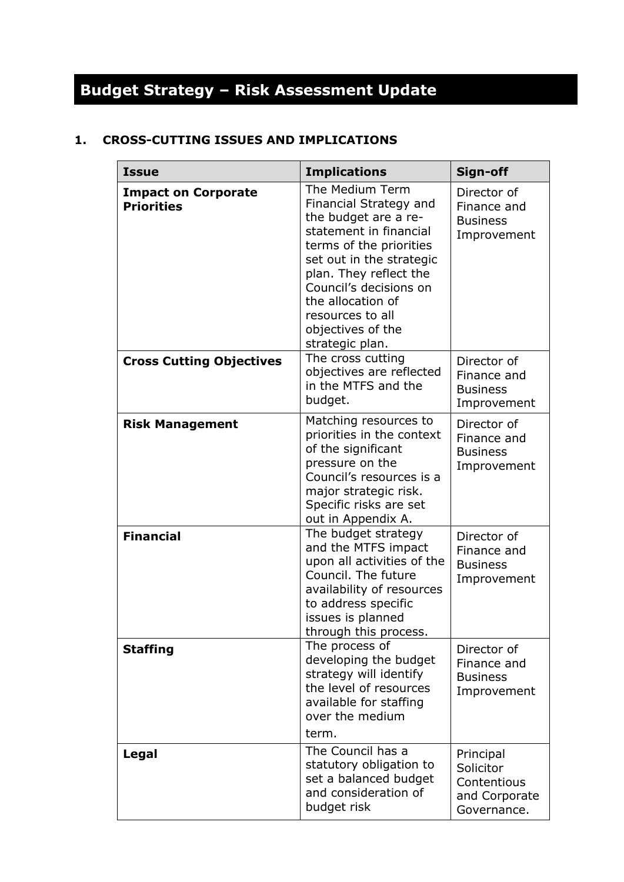# **Budget Strategy – Risk Assessment Update**

#### **1. CROSS-CUTTING ISSUES AND IMPLICATIONS**

| <b>Issue</b>                                    | <b>Implications</b>                                                                                                                                                                                                                                                                     | Sign-off                                                              |
|-------------------------------------------------|-----------------------------------------------------------------------------------------------------------------------------------------------------------------------------------------------------------------------------------------------------------------------------------------|-----------------------------------------------------------------------|
| <b>Impact on Corporate</b><br><b>Priorities</b> | The Medium Term<br>Financial Strategy and<br>the budget are a re-<br>statement in financial<br>terms of the priorities<br>set out in the strategic<br>plan. They reflect the<br>Council's decisions on<br>the allocation of<br>resources to all<br>objectives of the<br>strategic plan. | Director of<br>Finance and<br><b>Business</b><br>Improvement          |
| <b>Cross Cutting Objectives</b>                 | The cross cutting<br>objectives are reflected<br>in the MTFS and the<br>budget.                                                                                                                                                                                                         | Director of<br>Finance and<br><b>Business</b><br>Improvement          |
| <b>Risk Management</b>                          | Matching resources to<br>priorities in the context<br>of the significant<br>pressure on the<br>Council's resources is a<br>major strategic risk.<br>Specific risks are set<br>out in Appendix A.                                                                                        | Director of<br>Finance and<br><b>Business</b><br>Improvement          |
| <b>Financial</b>                                | The budget strategy<br>and the MTFS impact<br>upon all activities of the<br>Council. The future<br>availability of resources<br>to address specific<br>issues is planned<br>through this process.                                                                                       | Director of<br>Finance and<br><b>Business</b><br>Improvement          |
| <b>Staffing</b>                                 | The process of<br>developing the budget<br>strategy will identify<br>the level of resources<br>available for staffing<br>over the medium<br>term.                                                                                                                                       | Director of<br>Finance and<br><b>Business</b><br>Improvement          |
| Legal                                           | The Council has a<br>statutory obligation to<br>set a balanced budget<br>and consideration of<br>budget risk                                                                                                                                                                            | Principal<br>Solicitor<br>Contentious<br>and Corporate<br>Governance. |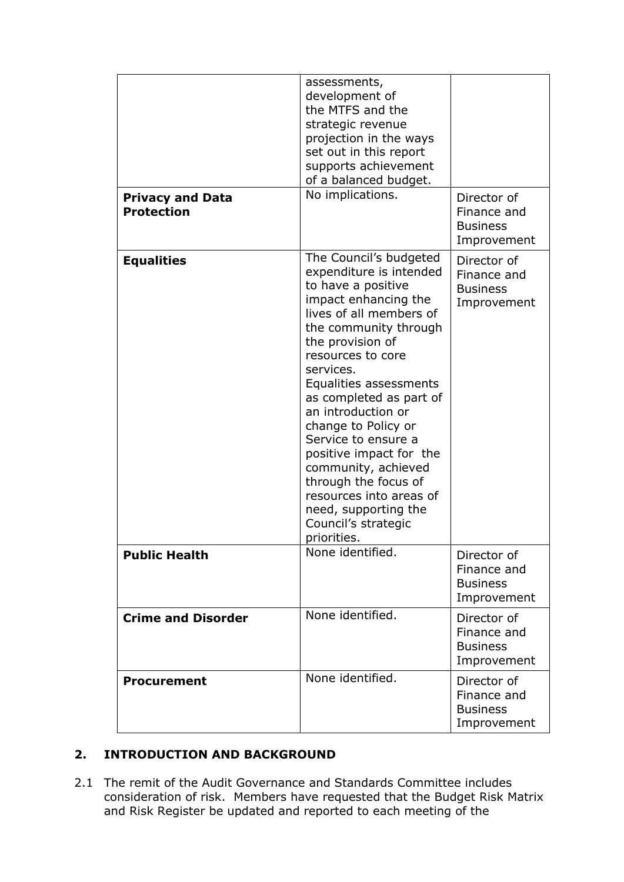| <b>Privacy and Data</b><br><b>Protection</b> | assessments,<br>development of<br>the MTFS and the<br>strategic revenue<br>projection in the ways<br>set out in this report<br>supports achievement<br>of a balanced budget.<br>No implications.                                                                                                                                                                                                                                                                                                      | Director of<br>Finance and<br><b>Business</b><br>Improvement |
|----------------------------------------------|-------------------------------------------------------------------------------------------------------------------------------------------------------------------------------------------------------------------------------------------------------------------------------------------------------------------------------------------------------------------------------------------------------------------------------------------------------------------------------------------------------|--------------------------------------------------------------|
| <b>Equalities</b>                            | The Council's budgeted<br>expenditure is intended<br>to have a positive<br>impact enhancing the<br>lives of all members of<br>the community through<br>the provision of<br>resources to core<br>services.<br>Equalities assessments<br>as completed as part of<br>an introduction or<br>change to Policy or<br>Service to ensure a<br>positive impact for the<br>community, achieved<br>through the focus of<br>resources into areas of<br>need, supporting the<br>Council's strategic<br>priorities. | Director of<br>Finance and<br><b>Business</b><br>Improvement |
| <b>Public Health</b>                         | None identified.                                                                                                                                                                                                                                                                                                                                                                                                                                                                                      | Director of<br>Finance and<br><b>Business</b><br>Improvement |
| <b>Crime and Disorder</b>                    | None identified.                                                                                                                                                                                                                                                                                                                                                                                                                                                                                      | Director of<br>Finance and<br><b>Business</b><br>Improvement |
| <b>Procurement</b>                           | None identified.                                                                                                                                                                                                                                                                                                                                                                                                                                                                                      | Director of<br>Finance and<br><b>Business</b><br>Improvement |

#### **2. INTRODUCTION AND BACKGROUND**

2.1 The remit of the Audit Governance and Standards Committee includes consideration of risk. Members have requested that the Budget Risk Matrix and Risk Register be updated and reported to each meeting of the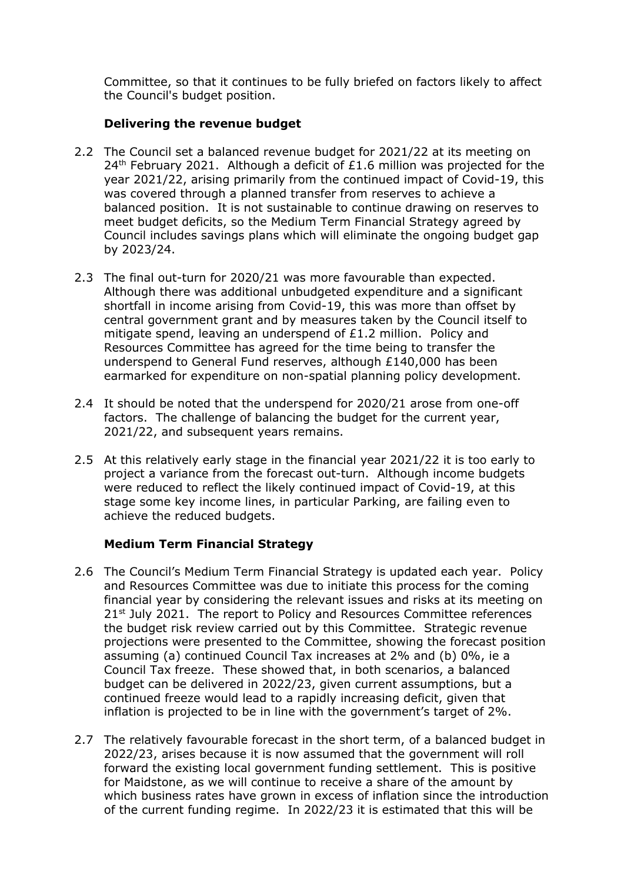Committee, so that it continues to be fully briefed on factors likely to affect the Council's budget position.

#### **Delivering the revenue budget**

- 2.2 The Council set a balanced revenue budget for 2021/22 at its meeting on  $24<sup>th</sup>$  February 2021. Although a deficit of £1.6 million was projected for the year 2021/22, arising primarily from the continued impact of Covid-19, this was covered through a planned transfer from reserves to achieve a balanced position. It is not sustainable to continue drawing on reserves to meet budget deficits, so the Medium Term Financial Strategy agreed by Council includes savings plans which will eliminate the ongoing budget gap by 2023/24.
- 2.3 The final out-turn for 2020/21 was more favourable than expected. Although there was additional unbudgeted expenditure and a significant shortfall in income arising from Covid-19, this was more than offset by central government grant and by measures taken by the Council itself to mitigate spend, leaving an underspend of £1.2 million. Policy and Resources Committee has agreed for the time being to transfer the underspend to General Fund reserves, although £140,000 has been earmarked for expenditure on non-spatial planning policy development.
- 2.4 It should be noted that the underspend for 2020/21 arose from one-off factors. The challenge of balancing the budget for the current year, 2021/22, and subsequent years remains.
- 2.5 At this relatively early stage in the financial year 2021/22 it is too early to project a variance from the forecast out-turn. Although income budgets were reduced to reflect the likely continued impact of Covid-19, at this stage some key income lines, in particular Parking, are failing even to achieve the reduced budgets.

#### **Medium Term Financial Strategy**

- 2.6 The Council's Medium Term Financial Strategy is updated each year. Policy and Resources Committee was due to initiate this process for the coming financial year by considering the relevant issues and risks at its meeting on 21st July 2021. The report to Policy and Resources Committee references the budget risk review carried out by this Committee. Strategic revenue projections were presented to the Committee, showing the forecast position assuming (a) continued Council Tax increases at 2% and (b) 0%, ie a Council Tax freeze. These showed that, in both scenarios, a balanced budget can be delivered in 2022/23, given current assumptions, but a continued freeze would lead to a rapidly increasing deficit, given that inflation is projected to be in line with the government's target of 2%.
- 2.7 The relatively favourable forecast in the short term, of a balanced budget in 2022/23, arises because it is now assumed that the government will roll forward the existing local government funding settlement. This is positive for Maidstone, as we will continue to receive a share of the amount by which business rates have grown in excess of inflation since the introduction of the current funding regime. In 2022/23 it is estimated that this will be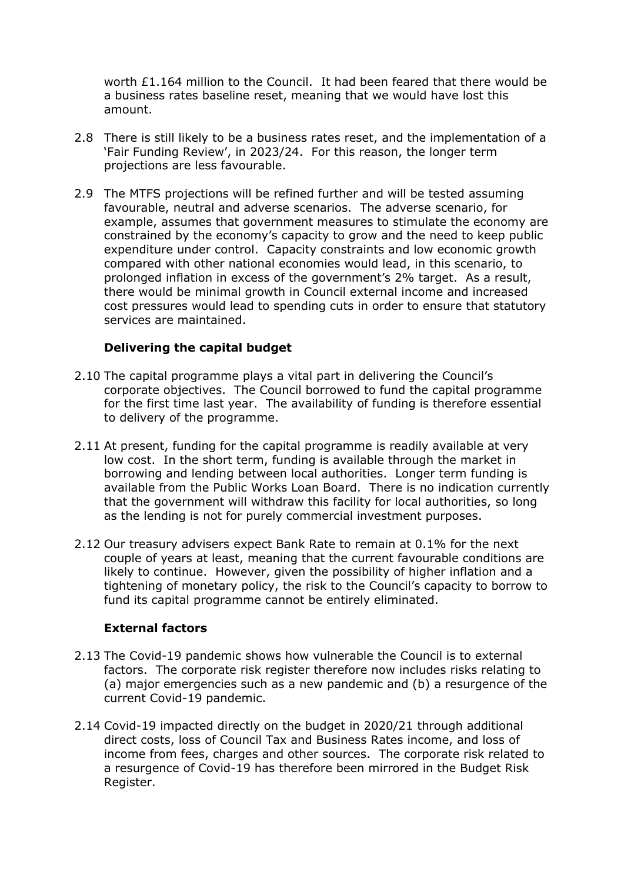worth £1.164 million to the Council. It had been feared that there would be a business rates baseline reset, meaning that we would have lost this amount.

- 2.8 There is still likely to be a business rates reset, and the implementation of a 'Fair Funding Review', in 2023/24. For this reason, the longer term projections are less favourable.
- 2.9 The MTFS projections will be refined further and will be tested assuming favourable, neutral and adverse scenarios. The adverse scenario, for example, assumes that government measures to stimulate the economy are constrained by the economy's capacity to grow and the need to keep public expenditure under control. Capacity constraints and low economic growth compared with other national economies would lead, in this scenario, to prolonged inflation in excess of the government's 2% target. As a result, there would be minimal growth in Council external income and increased cost pressures would lead to spending cuts in order to ensure that statutory services are maintained.

#### **Delivering the capital budget**

- 2.10 The capital programme plays a vital part in delivering the Council's corporate objectives. The Council borrowed to fund the capital programme for the first time last year. The availability of funding is therefore essential to delivery of the programme.
- 2.11 At present, funding for the capital programme is readily available at very low cost. In the short term, funding is available through the market in borrowing and lending between local authorities. Longer term funding is available from the Public Works Loan Board. There is no indication currently that the government will withdraw this facility for local authorities, so long as the lending is not for purely commercial investment purposes.
- 2.12 Our treasury advisers expect Bank Rate to remain at 0.1% for the next couple of years at least, meaning that the current favourable conditions are likely to continue. However, given the possibility of higher inflation and a tightening of monetary policy, the risk to the Council's capacity to borrow to fund its capital programme cannot be entirely eliminated.

#### **External factors**

- 2.13 The Covid-19 pandemic shows how vulnerable the Council is to external factors. The corporate risk register therefore now includes risks relating to (a) major emergencies such as a new pandemic and (b) a resurgence of the current Covid-19 pandemic.
- 2.14 Covid-19 impacted directly on the budget in 2020/21 through additional direct costs, loss of Council Tax and Business Rates income, and loss of income from fees, charges and other sources. The corporate risk related to a resurgence of Covid-19 has therefore been mirrored in the Budget Risk Register.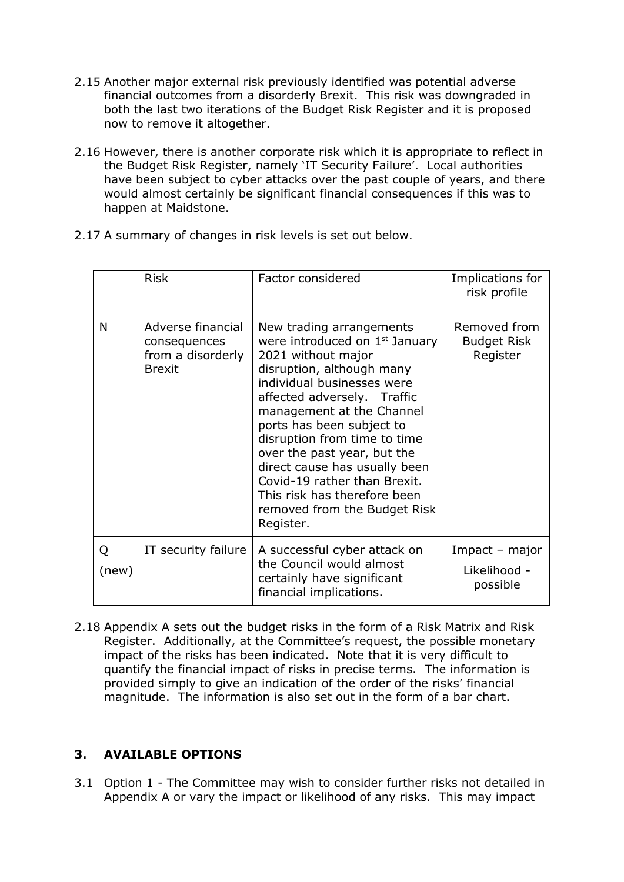- 2.15 Another major external risk previously identified was potential adverse financial outcomes from a disorderly Brexit. This risk was downgraded in both the last two iterations of the Budget Risk Register and it is proposed now to remove it altogether.
- 2.16 However, there is another corporate risk which it is appropriate to reflect in the Budget Risk Register, namely 'IT Security Failure'. Local authorities have been subject to cyber attacks over the past couple of years, and there would almost certainly be significant financial consequences if this was to happen at Maidstone.
- 2.17 A summary of changes in risk levels is set out below.

|            | <b>Risk</b>                                                             | Factor considered                                                                                                                                                                                                                                                                                                                                                                                                                                             | Implications for<br>risk profile               |
|------------|-------------------------------------------------------------------------|---------------------------------------------------------------------------------------------------------------------------------------------------------------------------------------------------------------------------------------------------------------------------------------------------------------------------------------------------------------------------------------------------------------------------------------------------------------|------------------------------------------------|
| N          | Adverse financial<br>consequences<br>from a disorderly<br><b>Brexit</b> | New trading arrangements<br>were introduced on 1 <sup>st</sup> January<br>2021 without major<br>disruption, although many<br>individual businesses were<br>affected adversely. Traffic<br>management at the Channel<br>ports has been subject to<br>disruption from time to time<br>over the past year, but the<br>direct cause has usually been<br>Covid-19 rather than Brexit.<br>This risk has therefore been<br>removed from the Budget Risk<br>Register. | Removed from<br><b>Budget Risk</b><br>Register |
| Q<br>(new) | IT security failure                                                     | A successful cyber attack on<br>the Council would almost<br>certainly have significant<br>financial implications.                                                                                                                                                                                                                                                                                                                                             | Impact - major<br>Likelihood -<br>possible     |

2.18 Appendix A sets out the budget risks in the form of a Risk Matrix and Risk Register. Additionally, at the Committee's request, the possible monetary impact of the risks has been indicated. Note that it is very difficult to quantify the financial impact of risks in precise terms. The information is provided simply to give an indication of the order of the risks' financial magnitude. The information is also set out in the form of a bar chart.

#### **3. AVAILABLE OPTIONS**

3.1 Option 1 - The Committee may wish to consider further risks not detailed in Appendix A or vary the impact or likelihood of any risks. This may impact